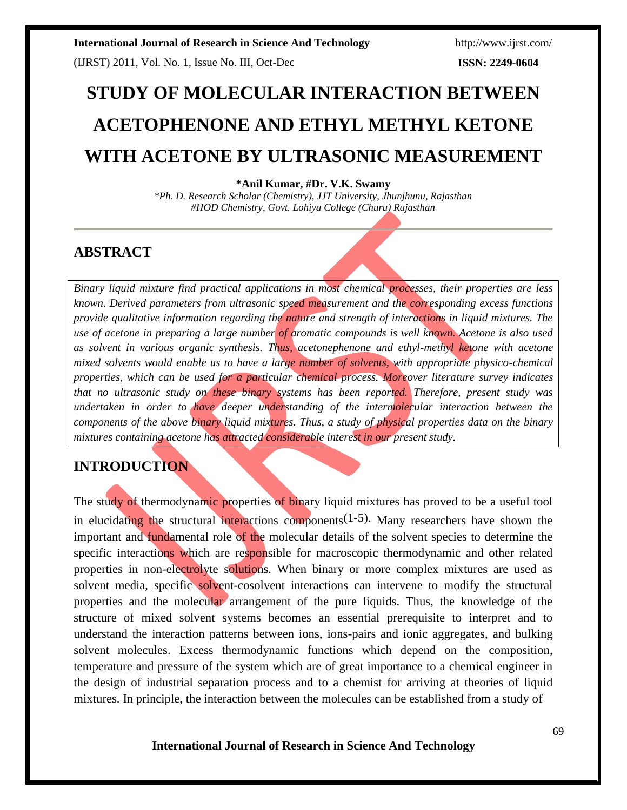(IJRST) 2011, Vol. No. 1, Issue No. III, Oct-Dec

**ISSN: 2249-0604**

# **STUDY OF MOLECULAR INTERACTION BETWEEN ACETOPHENONE AND ETHYL METHYL KETONE WITH ACETONE BY ULTRASONIC MEASUREMENT**

#### **\*Anil Kumar, #Dr. V.K. Swamy**

*\*Ph. D. Research Scholar (Chemistry), JJT University, Jhunjhunu, Rajasthan #HOD Chemistry, Govt. Lohiya College (Churu) Rajasthan*

## **ABSTRACT**

*Binary liquid mixture find practical applications in most chemical processes, their properties are less known. Derived parameters from ultrasonic speed measurement and the corresponding excess functions provide qualitative information regarding the nature and strength of interactions in liquid mixtures. The use of acetone in preparing a large number of aromatic compounds is well known. Acetone is also used as solvent in various organic synthesis. Thus, acetonephenone and ethyl-methyl ketone with acetone mixed solvents would enable us to have a large number of solvents, with appropriate physico-chemical properties, which can be used for a particular chemical process. Moreover literature survey indicates that no ultrasonic study on these binary systems has been reported. Therefore, present study was undertaken in order to have deeper understanding of the intermolecular interaction between the components of the above binary liquid mixtures. Thus, a study of physical properties data on the binary mixtures containing acetone has attracted considerable interest in our present study.*

## **INTRODUCTION**

The study of thermodynamic properties of binary liquid mixtures has proved to be a useful tool in elucidating the structural interactions components<sup>(1-5)</sup>. Many researchers have shown the important and fundamental role of the molecular details of the solvent species to determine the specific interactions which are responsible for macroscopic thermodynamic and other related properties in non-electrolyte solutions. When binary or more complex mixtures are used as solvent media, specific solvent-cosolvent interactions can intervene to modify the structural properties and the molecular arrangement of the pure liquids. Thus, the knowledge of the structure of mixed solvent systems becomes an essential prerequisite to interpret and to understand the interaction patterns between ions, ions-pairs and ionic aggregates, and bulking solvent molecules. Excess thermodynamic functions which depend on the composition, temperature and pressure of the system which are of great importance to a chemical engineer in the design of industrial separation process and to a chemist for arriving at theories of liquid mixtures. In principle, the interaction between the molecules can be established from a study of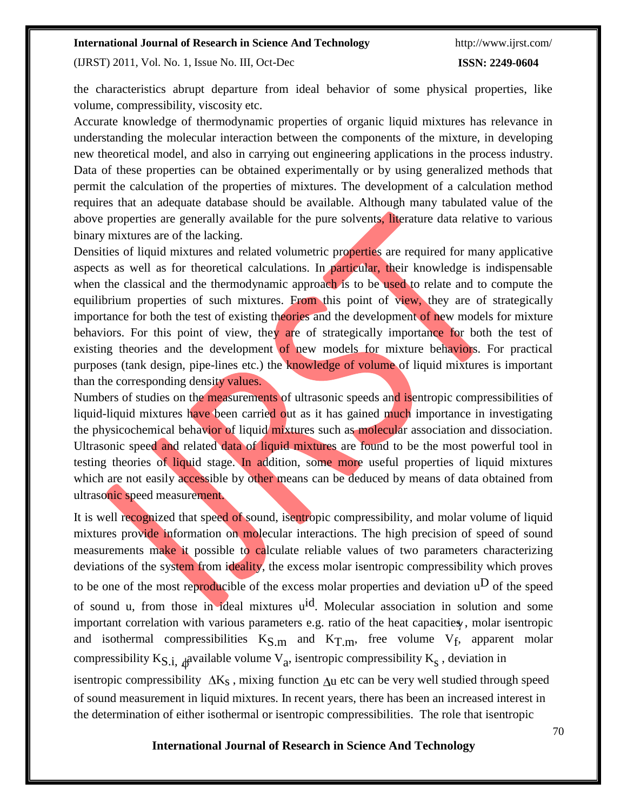(IJRST) 2011, Vol. No. 1, Issue No. III, Oct-Dec

#### **ISSN: 2249-0604**

the characteristics abrupt departure from ideal behavior of some physical properties, like volume, compressibility, viscosity etc.

Accurate knowledge of thermodynamic properties of organic liquid mixtures has relevance in understanding the molecular interaction between the components of the mixture, in developing new theoretical model, and also in carrying out engineering applications in the process industry. Data of these properties can be obtained experimentally or by using generalized methods that permit the calculation of the properties of mixtures. The development of a calculation method requires that an adequate database should be available. Although many tabulated value of the above properties are generally available for the pure solvents, literature data relative to various binary mixtures are of the lacking.

Densities of liquid mixtures and related volumetric properties are required for many applicative aspects as well as for theoretical calculations. In particular, their knowledge is indispensable when the classical and the thermodynamic approach is to be used to relate and to compute the equilibrium properties of such mixtures. From this point of view, they are of strategically importance for both the test of existing theories and the development of new models for mixture behaviors. For this point of view, they are of strategically importance for both the test of existing theories and the development of new models for mixture behaviors. For practical purposes (tank design, pipe-lines etc.) the knowledge of volume of liquid mixtures is important than the corresponding density values.

Numbers of studies on the measurements of ultrasonic speeds and isentropic compressibilities of liquid-liquid mixtures have been carried out as it has gained much importance in investigating the physicochemical behavior of liquid mixtures such as molecular association and dissociation. Ultrasonic speed and related data of liquid mixtures are found to be the most powerful tool in testing theories of liquid stage. In addition, some more useful properties of liquid mixtures which are not easily accessible by other means can be deduced by means of data obtained from ultrasonic speed measurement.

It is well recognized that speed of sound, is entropic compressibility, and molar volume of liquid mixtures provide information on molecular interactions. The high precision of speed of sound measurements make it possible to calculate reliable values of two parameters characterizing deviations of the system from ideality, the excess molar isentropic compressibility which proves to be one of the most reproducible of the excess molar properties and deviation  $u^D$  of the speed of sound u, from those in ideal mixtures uid. Molecular association in solution and some important correlation with various parameters e.g. ratio of the heat capacities, molar isentropic and isothermal compressibilities  $K_{S,m}$  and  $K_{T,m}$ , free volume  $V_f$ , apparent molar compressibility K<sub>S.i,  $\phi$ </sub>available volume V<sub>a</sub>, isentropic compressibility K<sub>s</sub>, deviation in isentropic compressibility  $\Delta K_S$ , mixing function  $\Delta u$  etc can be very well studied through speed of sound measurement in liquid mixtures. In recent years, there has been an increased interest in the determination of either isothermal or isentropic compressibilities. The role that isentropic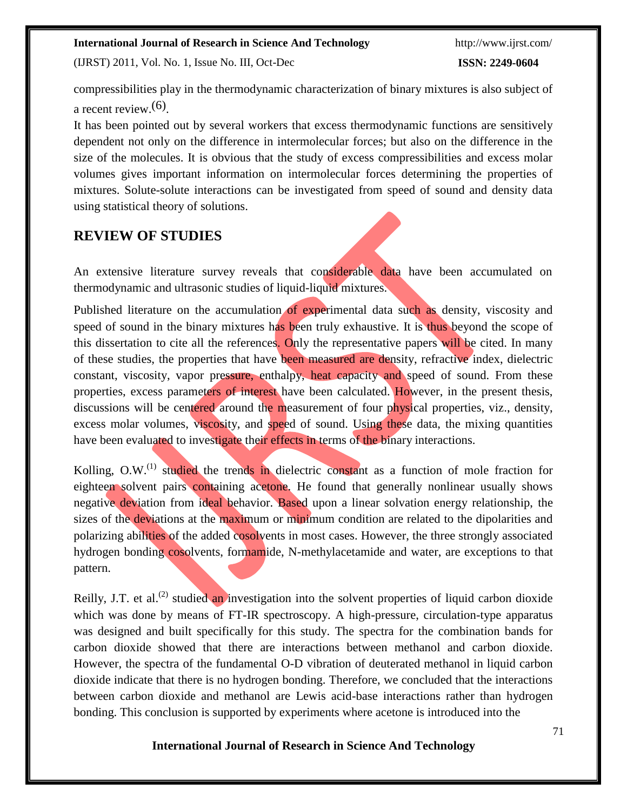(IJRST) 2011, Vol. No. 1, Issue No. III, Oct-Dec

**ISSN: 2249-0604**

compressibilities play in the thermodynamic characterization of binary mixtures is also subject of a recent review.(6) .

It has been pointed out by several workers that excess thermodynamic functions are sensitively dependent not only on the difference in intermolecular forces; but also on the difference in the size of the molecules. It is obvious that the study of excess compressibilities and excess molar volumes gives important information on intermolecular forces determining the properties of mixtures. Solute-solute interactions can be investigated from speed of sound and density data using statistical theory of solutions.

## **REVIEW OF STUDIES**

An extensive literature survey reveals that considerable data have been accumulated on thermodynamic and ultrasonic studies of liquid-liquid mixtures.

Published literature on the accumulation of experimental data such as density, viscosity and speed of sound in the binary mixtures has been truly exhaustive. It is thus beyond the scope of this dissertation to cite all the references. Only the representative papers will be cited. In many of these studies, the properties that have been measured are density, refractive index, dielectric constant, viscosity, vapor pressure, enthalpy, heat capacity and speed of sound. From these properties, excess parameters of interest have been calculated. However, in the present thesis, discussions will be centered around the measurement of four physical properties, viz., density, excess molar volumes, viscosity, and speed of sound. Using these data, the mixing quantities have been evaluated to investigate their effects in terms of the binary interactions.

Kolling, O.W.<sup>(1)</sup> studied the trends in dielectric constant as a function of mole fraction for eighteen solvent pairs containing acetone. He found that generally nonlinear usually shows negative deviation from ideal behavior. Based upon a linear solvation energy relationship, the sizes of the deviations at the maximum or minimum condition are related to the dipolarities and polarizing abilities of the added cosolvents in most cases. However, the three strongly associated hydrogen bonding cosolvents, formamide, N-methylacetamide and water, are exceptions to that pattern.

Reilly, J.T. et al.<sup>(2)</sup> studied an investigation into the solvent properties of liquid carbon dioxide which was done by means of FT-IR spectroscopy. A high-pressure, circulation-type apparatus was designed and built specifically for this study. The spectra for the combination bands for carbon dioxide showed that there are interactions between methanol and carbon dioxide. However, the spectra of the fundamental O-D vibration of deuterated methanol in liquid carbon dioxide indicate that there is no hydrogen bonding. Therefore, we concluded that the interactions between carbon dioxide and methanol are Lewis acid-base interactions rather than hydrogen bonding. This conclusion is supported by experiments where acetone is introduced into the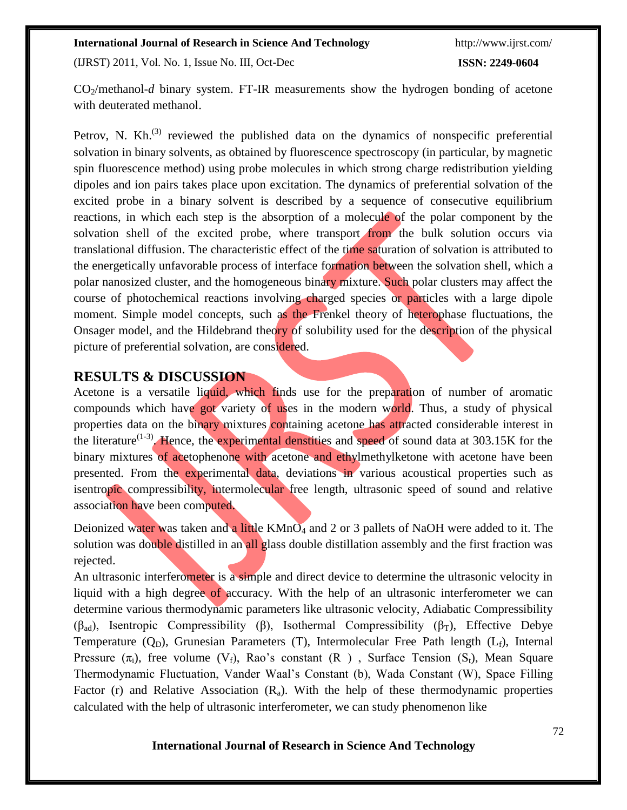(IJRST) 2011, Vol. No. 1, Issue No. III, Oct-Dec

#### **ISSN: 2249-0604**

CO2/methanol-*d* binary system. FT-IR measurements show the hydrogen bonding of acetone with deuterated methanol.

Petrov, N. Kh. $^{(3)}$  reviewed the published data on the dynamics of nonspecific preferential solvation in binary solvents, as obtained by fluorescence spectroscopy (in particular, by magnetic spin fluorescence method) using probe molecules in which strong charge redistribution yielding dipoles and ion pairs takes place upon excitation. The dynamics of preferential solvation of the excited probe in a binary solvent is described by a sequence of consecutive equilibrium reactions, in which each step is the absorption of a molecule of the polar component by the solvation shell of the excited probe, where transport from the bulk solution occurs via translational diffusion. The characteristic effect of the time saturation of solvation is attributed to the energetically unfavorable process of interface formation between the solvation shell, which a polar nanosized cluster, and the homogeneous binary mixture. Such polar clusters may affect the course of photochemical reactions involving charged species or particles with a large dipole moment. Simple model concepts, such as the Frenkel theory of heterophase fluctuations, the Onsager model, and the Hildebrand theory of solubility used for the description of the physical picture of preferential solvation, are considered.

#### **RESULTS & DISCUSSION**

Acetone is a versatile liquid, which finds use for the preparation of number of aromatic compounds which have got variety of uses in the modern world. Thus, a study of physical properties data on the binary mixtures containing acetone has attracted considerable interest in the literature<sup> $(1-3)$ </sup>. Hence, the experimental denstities and speed of sound data at 303.15K for the binary mixtures of acetophenone with acetone and ethylmethylketone with acetone have been presented. From the experimental data, deviations in various acoustical properties such as isentropic compressibility, intermolecular free length, ultrasonic speed of sound and relative association have been computed.

Deionized water was taken and a little KMnO<sub>4</sub> and 2 or 3 pallets of NaOH were added to it. The solution was double distilled in an all glass double distillation assembly and the first fraction was rejected.

An ultrasonic interferometer is a simple and direct device to determine the ultrasonic velocity in liquid with a high degree of accuracy. With the help of an ultrasonic interferometer we can determine various thermodynamic parameters like ultrasonic velocity, Adiabatic Compressibility ( $\beta_{ad}$ ), Isentropic Compressibility ( $\beta$ ), Isothermal Compressibility ( $\beta_T$ ), Effective Debye Temperature  $(Q_D)$ , Grunesian Parameters (T), Intermolecular Free Path length ( $L_f$ ), Internal Pressure  $(\pi_i)$ , free volume  $(V_f)$ , Rao's constant  $(R)$ , Surface Tension  $(S_t)$ , Mean Square Thermodynamic Fluctuation, Vander Waal's Constant (b), Wada Constant (W), Space Filling Factor (r) and Relative Association  $(R_a)$ . With the help of these thermodynamic properties calculated with the help of ultrasonic interferometer, we can study phenomenon like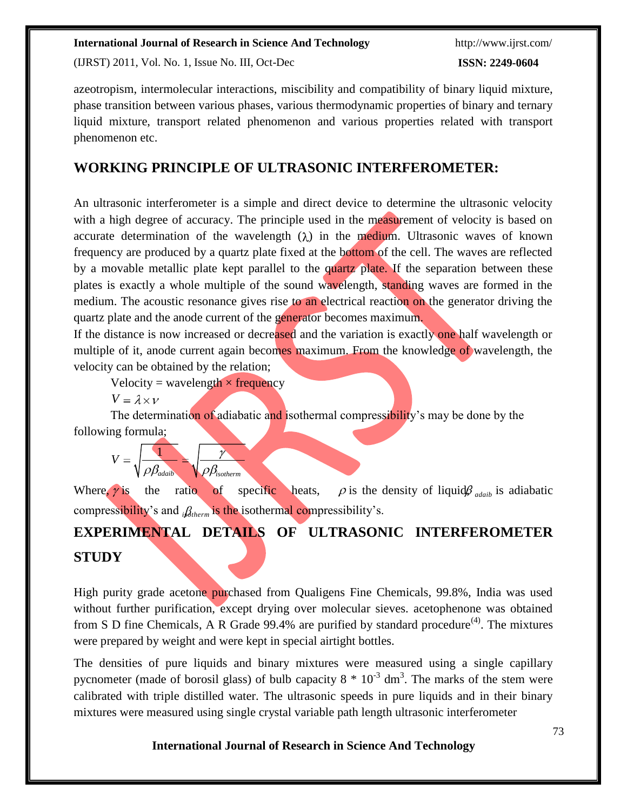(IJRST) 2011, Vol. No. 1, Issue No. III, Oct-Dec

**ISSN: 2249-0604**

azeotropism, intermolecular interactions, miscibility and compatibility of binary liquid mixture, phase transition between various phases, various thermodynamic properties of binary and ternary liquid mixture, transport related phenomenon and various properties related with transport phenomenon etc.

## **WORKING PRINCIPLE OF ULTRASONIC INTERFEROMETER:**

An ultrasonic interferometer is a simple and direct device to determine the ultrasonic velocity with a high degree of accuracy. The principle used in the measurement of velocity is based on accurate determination of the wavelength  $(\lambda)$  in the medium. Ultrasonic waves of known frequency are produced by a quartz plate fixed at the bottom of the cell. The waves are reflected by a movable metallic plate kept parallel to the quartz plate. If the separation between these plates is exactly a whole multiple of the sound wavelength, standing waves are formed in the medium. The acoustic resonance gives rise to an electrical reaction on the generator driving the quartz plate and the anode current of the generator becomes maximum.

If the distance is now increased or decreased and the variation is exactly one half wavelength or multiple of it, anode current again becomes maximum. From the knowledge of wavelength, the velocity can be obtained by the relation;

Velocity = wavelength  $\times$  frequency

 $V = \lambda \times V$ 

The determination of adiabatic and isothermal compressibility's may be done by the following formula;

$$
V = \sqrt{\frac{1}{\rho \beta_{adiab}}} = \sqrt{\frac{\gamma}{\rho \beta_{isotherm}}}
$$

Where,  $\gamma$  is the ratio of specific heats,  $\rho$  is the density of liquid $\beta$  *adain* is adiabatic compressibility's and  ${}_{i}\mathcal{B}_{therm}$  is the isothermal compressibility's.

## **EXPERIMENTAL DETAILS OF ULTRASONIC INTERFEROMETER STUDY**

High purity grade acetone purchased from Qualigens Fine Chemicals, 99.8%, India was used without further purification, except drying over molecular sieves, acetophenone was obtained from S D fine Chemicals, A R Grade 99.4% are purified by standard procedure<sup> $(4)$ </sup>. The mixtures were prepared by weight and were kept in special airtight bottles.

The densities of pure liquids and binary mixtures were measured using a single capillary pycnometer (made of borosil glass) of bulb capacity  $8 * 10^{-3}$  dm<sup>3</sup>. The marks of the stem were calibrated with triple distilled water. The ultrasonic speeds in pure liquids and in their binary mixtures were measured using single crystal variable path length ultrasonic interferometer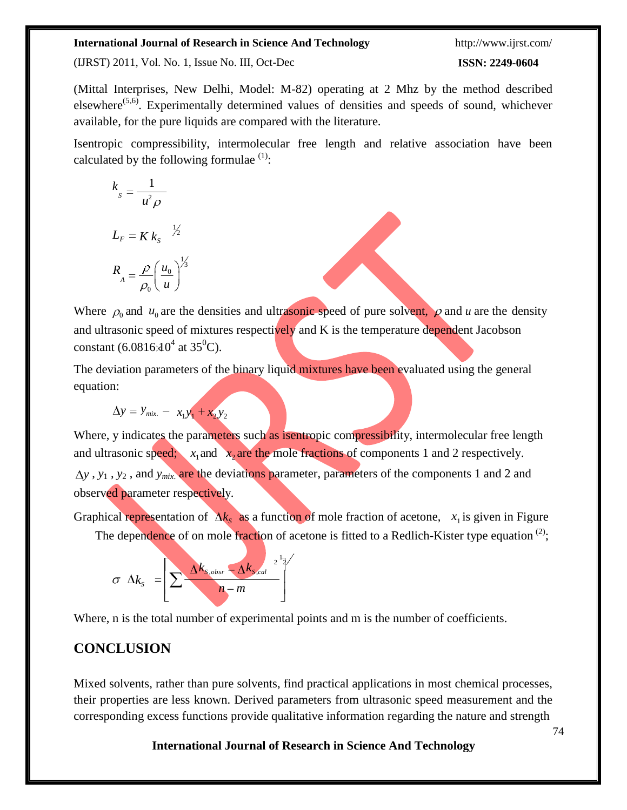http://www.ijrst.com/

(IJRST) 2011, Vol. No. 1, Issue No. III, Oct-Dec

#### **ISSN: 2249-0604**

(Mittal Interprises, New Delhi, Model: M-82) operating at 2 Mhz by the method described elsewhere<sup> $(5,6)$ </sup>. Experimentally determined values of densities and speeds of sound, whichever available, for the pure liquids are compared with the literature.

Isentropic compressibility, intermolecular free length and relative association have been calculated by the following formulae  $(1)$ :

$$
k_{s} = \frac{1}{u^{2} \rho}
$$
  

$$
L_{F} = K k_{s} \quad \frac{1}{2}
$$
  

$$
R_{A} = \frac{\rho}{\rho_{0}} \left(\frac{u_{0}}{u}\right)^{\frac{1}{2}}
$$

Where  $\rho_0$  and  $u_0$  are the densities and ultrasonic speed of pure solvent,  $\rho$  and *u* are the density and ultrasonic speed of mixtures respectively and K is the temperature dependent Jacobson constant (6.0816 $\lambda$ 0<sup>4</sup> at 35<sup>0</sup>C).

The deviation parameters of the binary liquid mixtures have been evaluated using the general equation:

$$
\Delta y = y_{mix.} - x_1 y_1 + x_2 y_2
$$

Where, y indicates the parameters such as isentropic compressibility, intermolecular free length and ultrasonic speed;  $x_1$  and  $x_2$  are the mole fractions of components 1 and 2 respectively. *y* , *y*<sup>1</sup> , *y*<sup>2</sup> , and *ymix*. are the deviations parameter, parameters of the components 1 and 2 and observed parameter respectively.

Graphical representation of  $\Delta k_s$  as a function of mole fraction of acetone,  $x_1$  is given in Figure

The dependence of on mole fraction of acetone is fitted to a Redlich-Kister type equation <sup>(2)</sup>;

$$
\sigma \Delta k_{s} = \left[ \sum \frac{\Delta k_{s,obsr} - \Delta k_{s,cal}}{n-m} \right]^{1/2}
$$

Where, n is the total number of experimental points and m is the number of coefficients.

## **CONCLUSION**

Mixed solvents, rather than pure solvents, find practical applications in most chemical processes, their properties are less known. Derived parameters from ultrasonic speed measurement and the corresponding excess functions provide qualitative information regarding the nature and strength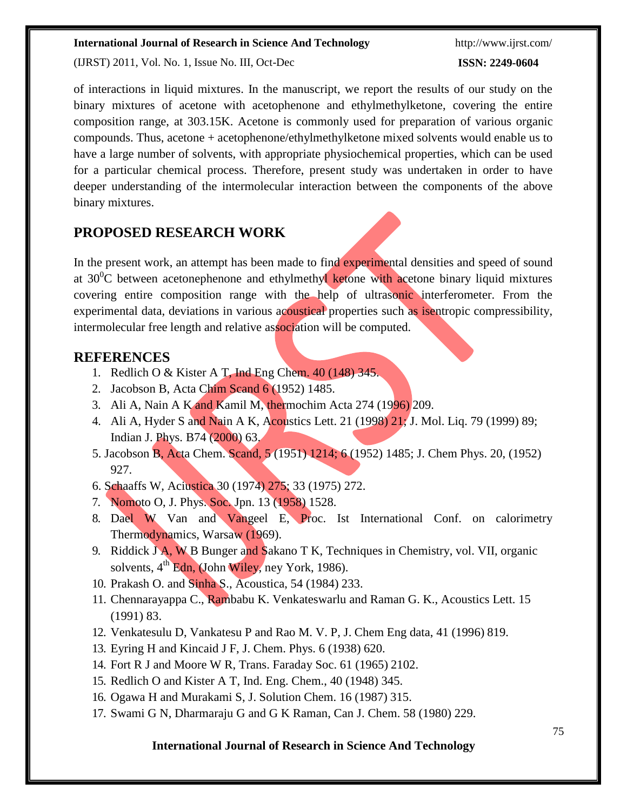(IJRST) 2011, Vol. No. 1, Issue No. III, Oct-Dec

http://www.ijrst.com/

#### **ISSN: 2249-0604**

of interactions in liquid mixtures. In the manuscript, we report the results of our study on the binary mixtures of acetone with acetophenone and ethylmethylketone, covering the entire composition range, at 303.15K. Acetone is commonly used for preparation of various organic compounds. Thus, acetone + acetophenone/ethylmethylketone mixed solvents would enable us to have a large number of solvents, with appropriate physiochemical properties, which can be used for a particular chemical process. Therefore, present study was undertaken in order to have deeper understanding of the intermolecular interaction between the components of the above binary mixtures.

## **PROPOSED RESEARCH WORK**

In the present work, an attempt has been made to find experimental densities and speed of sound at  $30^0$ C between acetonephenone and ethylmethyl ketone with acetone binary liquid mixtures covering entire composition range with the help of ultrasonic interferometer. From the experimental data, deviations in various acoustical properties such as isentropic compressibility, intermolecular free length and relative association will be computed.

#### **REFERENCES**

- 1. Redlich O & Kister A T, Ind Eng Chem.  $40(148)$  345.
- 2. Jacobson B, Acta Chim Scand 6 (1952) 1485.
- 3. Ali A, Nain A K and Kamil M, thermochim Acta 274 (1996) 209.
- 4. Ali A, Hyder S and Nain A K, Acoustics Lett. 21 (1998) 21; J. Mol. Lig. 79 (1999) 89; Indian J. Phys. B74 (2000) 63.
- 5. Jacobson B, Acta Chem. Scand, 5 (1951) 1214; 6 (1952) 1485; J. Chem Phys. 20, (1952) 927.
- 6. Schaaffs W, Aciustica 30 (1974) 275; 33 (1975) 272.
- 7. Nomoto O, J. Phys. Soc. Jpn. 13 (1958) 1528.
- 8. Dael W Van and Vangeel E, Proc. Ist International Conf. on calorimetry Thermodynamics, Warsaw (1969).
- 9. Riddick J A, W B Bunger and Sakano T K, Techniques in Chemistry, vol. VII, organic solvents,  $4<sup>th</sup>$  Edn, (John Wiley, ney York, 1986).
- 10. Prakash O. and Sinha S., Acoustica, 54 (1984) 233.
- 11. Chennarayappa C., Rambabu K. Venkateswarlu and Raman G. K., Acoustics Lett. 15 (1991) 83.
- 12. Venkatesulu D, Vankatesu P and Rao M. V. P, J. Chem Eng data, 41 (1996) 819.
- 13. Eyring H and Kincaid J F, J. Chem. Phys. 6 (1938) 620.
- 14. Fort R J and Moore W R, Trans. Faraday Soc. 61 (1965) 2102.
- 15. Redlich O and Kister A T, Ind. Eng. Chem., 40 (1948) 345.
- 16. Ogawa H and Murakami S, J. Solution Chem. 16 (1987) 315.
- 17. Swami G N, Dharmaraju G and G K Raman, Can J. Chem. 58 (1980) 229.